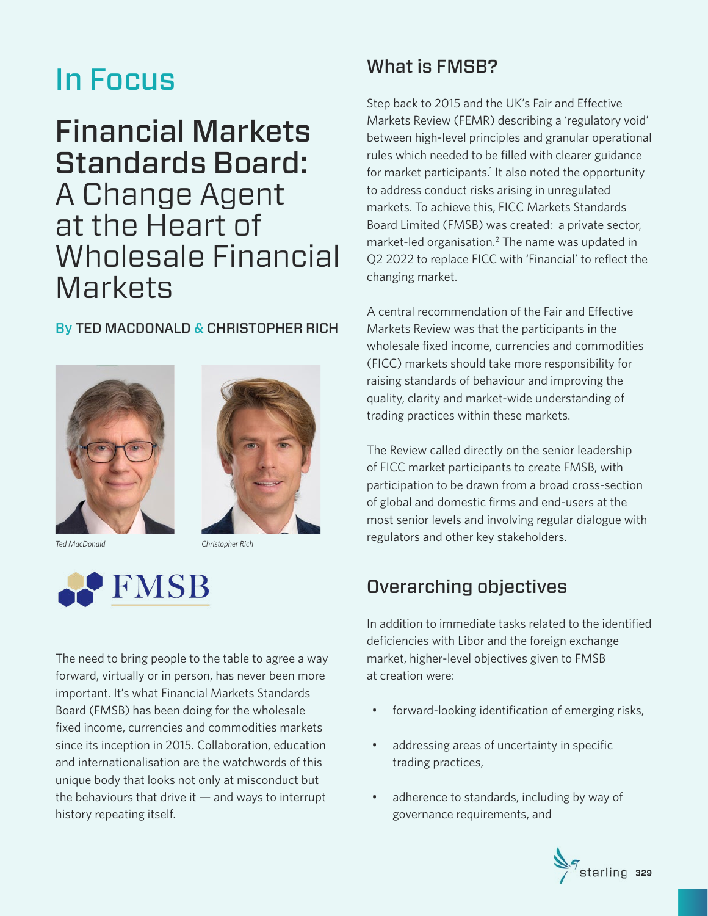# In Focus

# Financial Markets Standards Board: A Change Agent at the Heart of Wholesale Financial **Markets**

#### By TED MACDONALD & CHRISTOPHER RICH





*Ted MacDonald Christopher Rich*



The need to bring people to the table to agree a way forward, virtually or in person, has never been more important. It's what Financial Markets Standards Board (FMSB) has been doing for the wholesale fixed income, currencies and commodities markets since its inception in 2015. Collaboration, education and internationalisation are the watchwords of this unique body that looks not only at misconduct but the behaviours that drive it  $-$  and ways to interrupt history repeating itself.

# What is FMSB?

Step back to 2015 and the UK's Fair and Effective Markets Review (FEMR) describing a 'regulatory void' between high-level principles and granular operational rules which needed to be filled with clearer guidance for market participants.<sup>1</sup> It also noted the opportunity to address conduct risks arising in unregulated markets. To achieve this, FICC Markets Standards Board Limited (FMSB) was created: a private sector, market-led organisation.<sup>2</sup> The name was updated in Q2 2022 to replace FICC with 'Financial' to reflect the changing market.

A central recommendation of the Fair and Effective Markets Review was that the participants in the wholesale fixed income, currencies and commodities (FICC) markets should take more responsibility for raising standards of behaviour and improving the quality, clarity and market-wide understanding of trading practices within these markets.

The Review called directly on the senior leadership of FICC market participants to create FMSB, with participation to be drawn from a broad cross-section of global and domestic firms and end-users at the most senior levels and involving regular dialogue with regulators and other key stakeholders.

# Overarching objectives

In addition to immediate tasks related to the identified deficiencies with Libor and the foreign exchange market, higher-level objectives given to FMSB at creation were:

- forward-looking identification of emerging risks,
- addressing areas of uncertainty in specific trading practices,
- adherence to standards, including by way of governance requirements, and

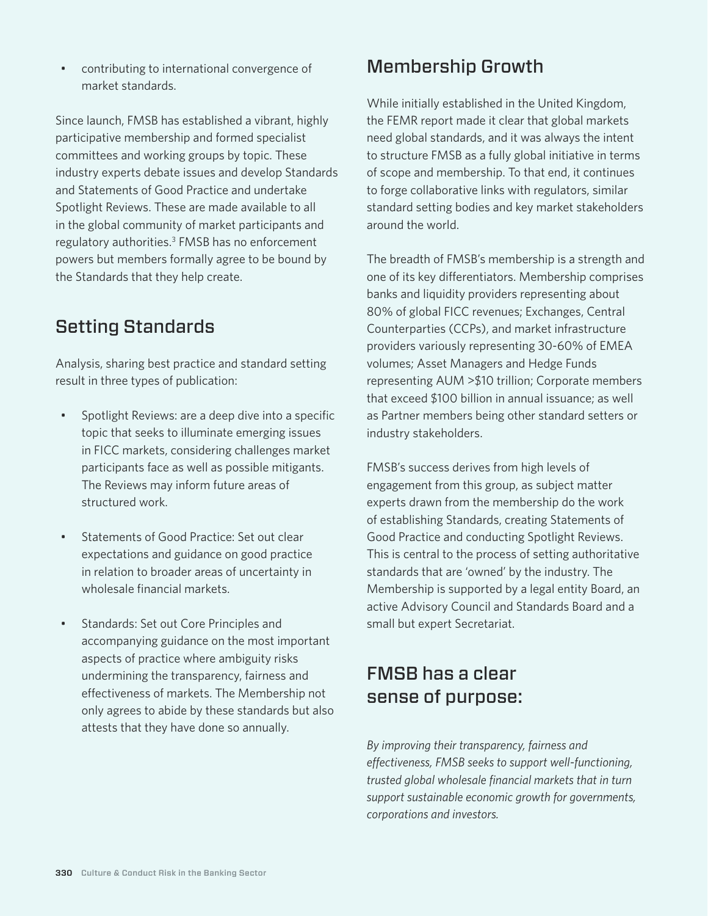• contributing to international convergence of market standards.

Since launch, FMSB has established a vibrant, highly participative membership and formed specialist committees and working groups by topic. These industry experts debate issues and develop Standards and Statements of Good Practice and undertake Spotlight Reviews. These are made available to all in the global community of market participants and regulatory authorities.<sup>3</sup> FMSB has no enforcement powers but members formally agree to be bound by the Standards that they help create.

### Setting Standards

Analysis, sharing best practice and standard setting result in three types of publication:

- Spotlight Reviews: are a deep dive into a specific topic that seeks to illuminate emerging issues in FICC markets, considering challenges market participants face as well as possible mitigants. The Reviews may inform future areas of structured work.
- Statements of Good Practice: Set out clear expectations and guidance on good practice in relation to broader areas of uncertainty in wholesale financial markets.
- Standards: Set out Core Principles and accompanying guidance on the most important aspects of practice where ambiguity risks undermining the transparency, fairness and effectiveness of markets. The Membership not only agrees to abide by these standards but also attests that they have done so annually.

### Membership Growth

While initially established in the United Kingdom, the FEMR report made it clear that global markets need global standards, and it was always the intent to structure FMSB as a fully global initiative in terms of scope and membership. To that end, it continues to forge collaborative links with regulators, similar standard setting bodies and key market stakeholders around the world.

The breadth of FMSB's membership is a strength and one of its key differentiators. Membership comprises banks and liquidity providers representing about 80% of global FICC revenues; Exchanges, Central Counterparties (CCPs), and market infrastructure providers variously representing 30-60% of EMEA volumes; Asset Managers and Hedge Funds representing AUM >\$10 trillion; Corporate members that exceed \$100 billion in annual issuance; as well as Partner members being other standard setters or industry stakeholders.

FMSB's success derives from high levels of engagement from this group, as subject matter experts drawn from the membership do the work of establishing Standards, creating Statements of Good Practice and conducting Spotlight Reviews. This is central to the process of setting authoritative standards that are 'owned' by the industry. The Membership is supported by a legal entity Board, an active Advisory Council and Standards Board and a small but expert Secretariat.

# FMSB has a clear sense of purpose:

*By improving their transparency, fairness and effectiveness, FMSB seeks to support well-functioning, trusted global wholesale financial markets that in turn support sustainable economic growth for governments, corporations and investors.*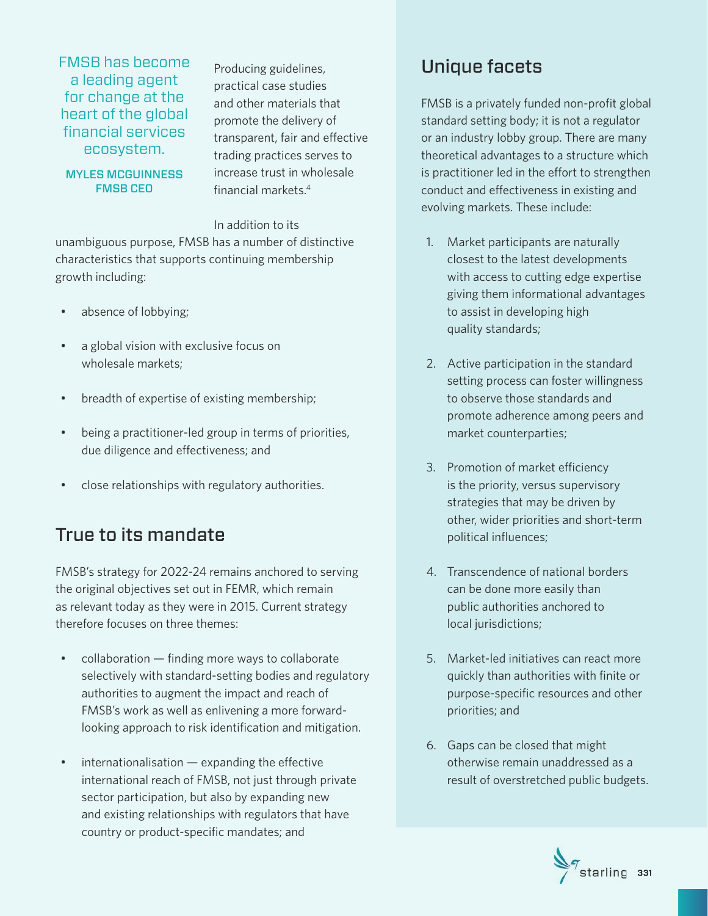FMSB has become a leading agent for change at the heart of the global financial services ecosystem.

Producing guidelines, practical case studies and other materials that promote the delivery of transparent, fair and effective trading practices serves to increase trust in wholesale financial markets.4

#### MYLES MCGUINNESS FMSB CEO

In addition to its

unambiguous purpose, FMSB has a number of distinctive characteristics that supports continuing membership growth including:

- absence of lobbying;
- a global vision with exclusive focus on wholesale markets;
- breadth of expertise of existing membership;
- being a practitioner-led group in terms of priorities, due diligence and effectiveness; and
- close relationships with regulatory authorities.

# True to its mandate

FMSB's strategy for 2022-24 remains anchored to serving the original objectives set out in FEMR, which remain as relevant today as they were in 2015. Current strategy therefore focuses on three themes:

- collaboration finding more ways to collaborate selectively with standard-setting bodies and regulatory authorities to augment the impact and reach of FMSB's work as well as enlivening a more forwardlooking approach to risk identification and mitigation.
- internationalisation expanding the effective international reach of FMSB, not just through private sector participation, but also by expanding new and existing relationships with regulators that have country or product-specific mandates; and

### Unique facets

FMSB is a privately funded non-profit global standard setting body; it is not a regulator or an industry lobby group. There are many theoretical advantages to a structure which is practitioner led in the effort to strengthen conduct and effectiveness in existing and evolving markets. These include:

- 1. Market participants are naturally closest to the latest developments with access to cutting edge expertise giving them informational advantages to assist in developing high quality standards;
- 2. Active participation in the standard setting process can foster willingness to observe those standards and promote adherence among peers and market counterparties;
- 3. Promotion of market efficiency is the priority, versus supervisory strategies that may be driven by other, wider priorities and short-term political influences;
- 4. Transcendence of national borders can be done more easily than public authorities anchored to local jurisdictions;
- 5. Market-led initiatives can react more quickly than authorities with finite or purpose-specific resources and other priorities; and
- 6. Gaps can be closed that might otherwise remain unaddressed as a result of overstretched public budgets.

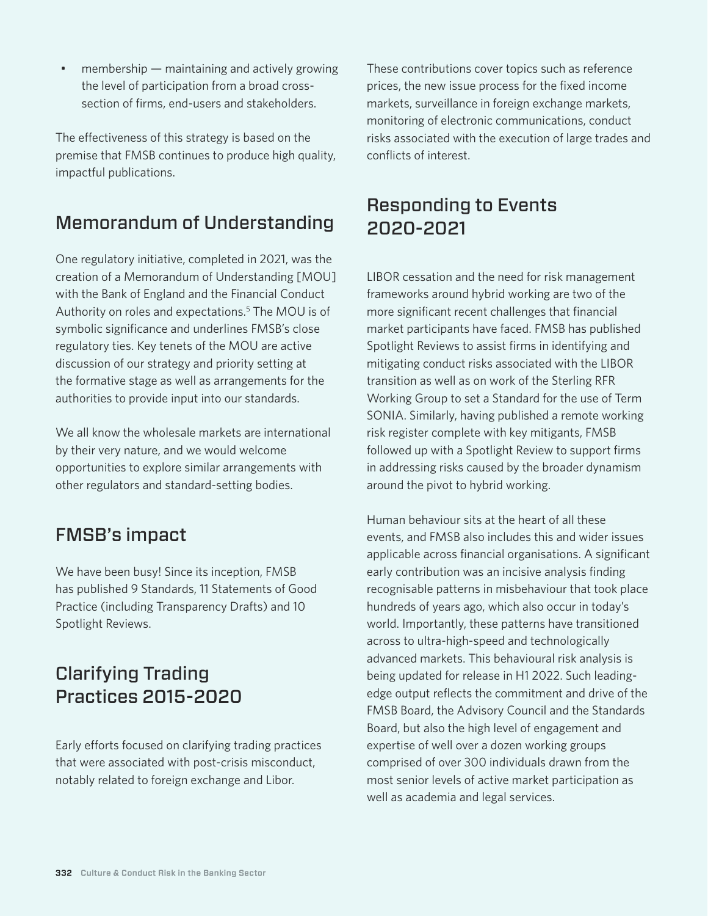• membership — maintaining and actively growing the level of participation from a broad crosssection of firms, end-users and stakeholders.

The effectiveness of this strategy is based on the premise that FMSB continues to produce high quality, impactful publications.

# Memorandum of Understanding

One regulatory initiative, completed in 2021, was the creation of a Memorandum of Understanding [MOU] with the Bank of England and the Financial Conduct Authority on roles and expectations.<sup>5</sup> The MOU is of symbolic significance and underlines FMSB's close regulatory ties. Key tenets of the MOU are active discussion of our strategy and priority setting at the formative stage as well as arrangements for the authorities to provide input into our standards.

We all know the wholesale markets are international by their very nature, and we would welcome opportunities to explore similar arrangements with other regulators and standard-setting bodies.

### FMSB's impact

We have been busy! Since its inception, FMSB has published 9 Standards, 11 Statements of Good Practice (including Transparency Drafts) and 10 Spotlight Reviews.

# Clarifying Trading Practices 2015-2020

Early efforts focused on clarifying trading practices that were associated with post-crisis misconduct, notably related to foreign exchange and Libor.

These contributions cover topics such as reference prices, the new issue process for the fixed income markets, surveillance in foreign exchange markets, monitoring of electronic communications, conduct risks associated with the execution of large trades and conflicts of interest.

# Responding to Events 2020-2021

LIBOR cessation and the need for risk management frameworks around hybrid working are two of the more significant recent challenges that financial market participants have faced. FMSB has published Spotlight Reviews to assist firms in identifying and mitigating conduct risks associated with the LIBOR transition as well as on work of the Sterling RFR Working Group to set a Standard for the use of Term SONIA. Similarly, having published a remote working risk register complete with key mitigants, FMSB followed up with a Spotlight Review to support firms in addressing risks caused by the broader dynamism around the pivot to hybrid working.

Human behaviour sits at the heart of all these events, and FMSB also includes this and wider issues applicable across financial organisations. A significant early contribution was an incisive analysis finding recognisable patterns in misbehaviour that took place hundreds of years ago, which also occur in today's world. Importantly, these patterns have transitioned across to ultra-high-speed and technologically advanced markets. This behavioural risk analysis is being updated for release in H1 2022. Such leadingedge output reflects the commitment and drive of the FMSB Board, the Advisory Council and the Standards Board, but also the high level of engagement and expertise of well over a dozen working groups comprised of over 300 individuals drawn from the most senior levels of active market participation as well as academia and legal services.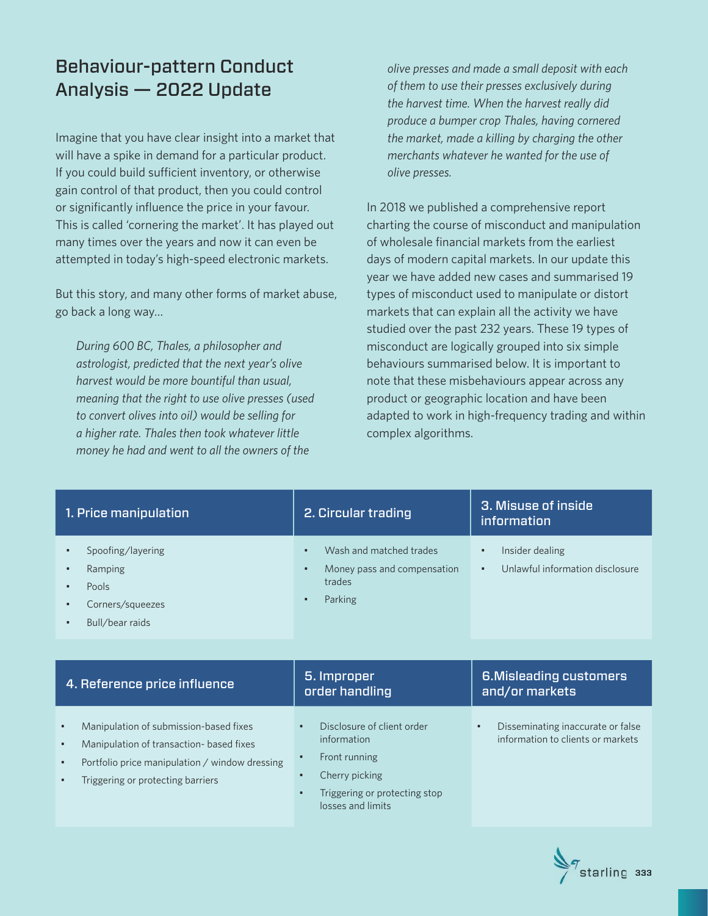# Behaviour-pattern Conduct Analysis — 2022 Update

Imagine that you have clear insight into a market that will have a spike in demand for a particular product. If you could build sufficient inventory, or otherwise gain control of that product, then you could control or significantly influence the price in your favour. This is called 'cornering the market'. It has played out many times over the years and now it can even be attempted in today's high-speed electronic markets.

But this story, and many other forms of market abuse, go back a long way…

*During 600 BC, Thales, a philosopher and astrologist, predicted that the next year's olive harvest would be more bountiful than usual, meaning that the right to use olive presses (used to convert olives into oil) would be selling for a higher rate. Thales then took whatever little money he had and went to all the owners of the* 

*olive presses and made a small deposit with each of them to use their presses exclusively during the harvest time. When the harvest really did produce a bumper crop Thales, having cornered the market, made a killing by charging the other merchants whatever he wanted for the use of olive presses.* 

In 2018 we published a comprehensive report charting the course of misconduct and manipulation of wholesale financial markets from the earliest days of modern capital markets. In our update this year we have added new cases and summarised 19 types of misconduct used to manipulate or distort markets that can explain all the activity we have studied over the past 232 years. These 19 types of misconduct are logically grouped into six simple behaviours summarised below. It is important to note that these misbehaviours appear across any product or geographic location and have been adapted to work in high-frequency trading and within complex algorithms.

| 1. Price manipulation                                                                            | 2. Circular trading                                                                                        | 3. Misuse of inside<br><i>information</i>                                    |
|--------------------------------------------------------------------------------------------------|------------------------------------------------------------------------------------------------------------|------------------------------------------------------------------------------|
| Spoofing/layering<br>Ramping<br>٠<br>Pools<br>٠<br>Corners/squeezes<br>٠<br>Bull/bear raids<br>٠ | Wash and matched trades<br>$\bullet$<br>Money pass and compensation<br>$\bullet$<br>trades<br>Parking<br>٠ | Insider dealing<br>$\bullet$<br>Unlawful information disclosure<br>$\bullet$ |
|                                                                                                  |                                                                                                            |                                                                              |
| 4. Reference price influence                                                                     | 5. Improper<br>order handling                                                                              | <b>6.Misleading customers</b><br>and/or markets                              |

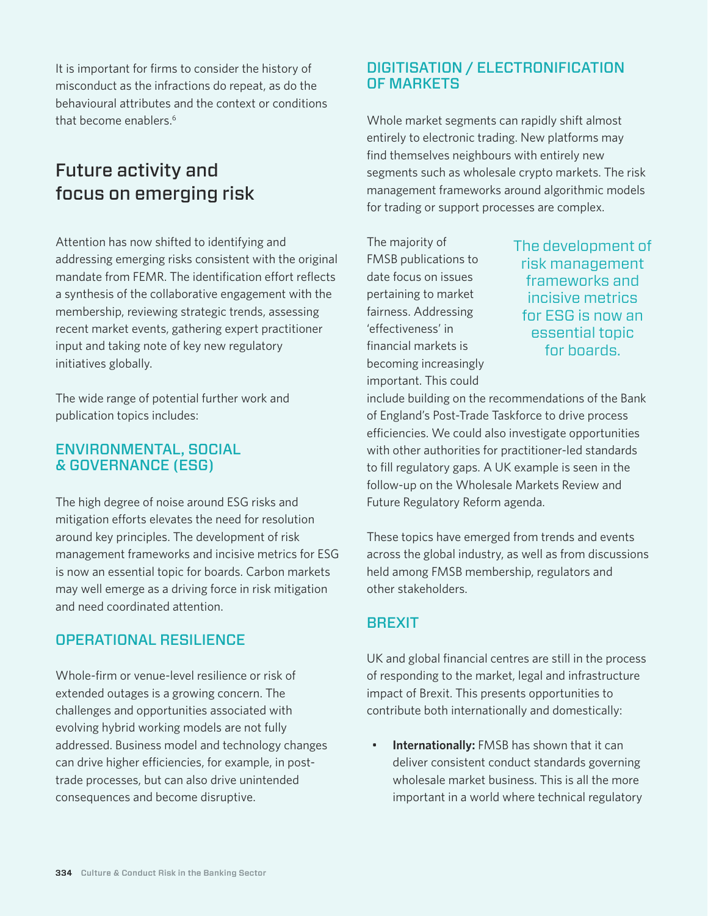It is important for firms to consider the history of misconduct as the infractions do repeat, as do the behavioural attributes and the context or conditions that become enablers.6

# Future activity and focus on emerging risk

Attention has now shifted to identifying and addressing emerging risks consistent with the original mandate from FEMR. The identification effort reflects a synthesis of the collaborative engagement with the membership, reviewing strategic trends, assessing recent market events, gathering expert practitioner input and taking note of key new regulatory initiatives globally.

The wide range of potential further work and publication topics includes:

#### ENVIRONMENTAL, SOCIAL & GOVERNANCE (ESG)

The high degree of noise around ESG risks and mitigation efforts elevates the need for resolution around key principles. The development of risk management frameworks and incisive metrics for ESG is now an essential topic for boards. Carbon markets may well emerge as a driving force in risk mitigation and need coordinated attention.

#### OPERATIONAL RESILIENCE

Whole-firm or venue-level resilience or risk of extended outages is a growing concern. The challenges and opportunities associated with evolving hybrid working models are not fully addressed. Business model and technology changes can drive higher efficiencies, for example, in posttrade processes, but can also drive unintended consequences and become disruptive.

### DIGITISATION / ELECTRONIFICATION OF MARKETS

Whole market segments can rapidly shift almost entirely to electronic trading. New platforms may find themselves neighbours with entirely new segments such as wholesale crypto markets. The risk management frameworks around algorithmic models for trading or support processes are complex.

The majority of FMSB publications to date focus on issues pertaining to market fairness. Addressing 'effectiveness' in financial markets is becoming increasingly important. This could

The development of risk management frameworks and incisive metrics for ESG is now an essential topic for boards.

include building on the recommendations of the Bank of England's Post-Trade Taskforce to drive process efficiencies. We could also investigate opportunities with other authorities for practitioner-led standards to fill regulatory gaps. A UK example is seen in the follow-up on the Wholesale Markets Review and Future Regulatory Reform agenda.

These topics have emerged from trends and events across the global industry, as well as from discussions held among FMSB membership, regulators and other stakeholders.

### **BREXIT**

UK and global financial centres are still in the process of responding to the market, legal and infrastructure impact of Brexit. This presents opportunities to contribute both internationally and domestically:

**Internationally:** FMSB has shown that it can deliver consistent conduct standards governing wholesale market business. This is all the more important in a world where technical regulatory